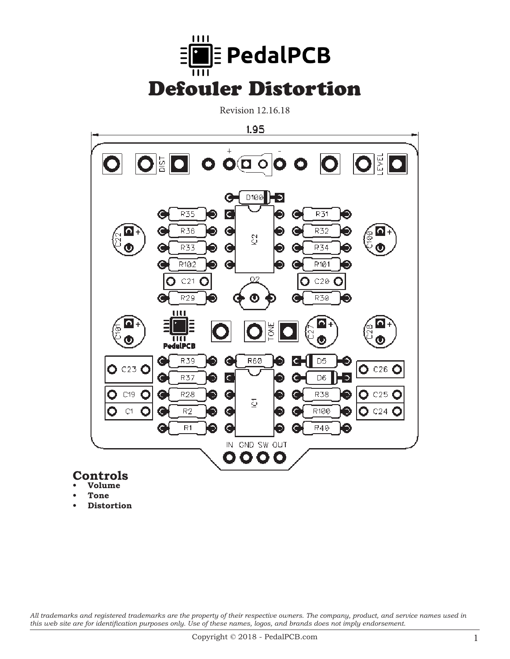

Revision 12.16.18



#### **Controls • Volume**

- **• Tone**
- **• Distortion**

*All trademarks and registered trademarks are the property of their respective owners. The company, product, and service names used in this web site are for identification purposes only. Use of these names, logos, and brands does not imply endorsement.*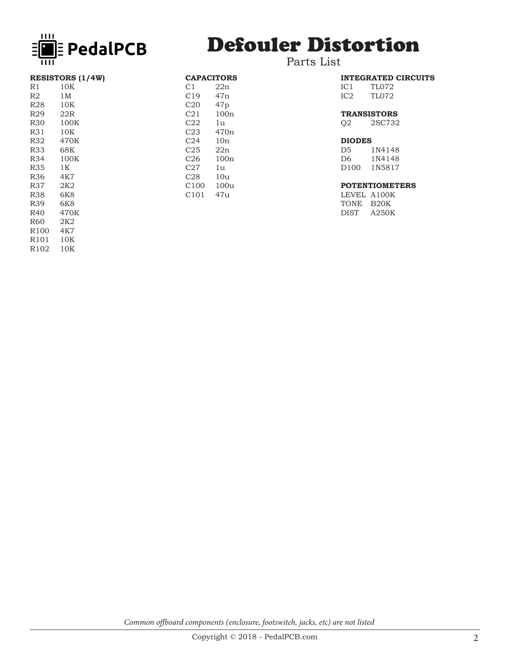

# Defouler Distortion

### Parts List

| <b>RESISTORS (1/4W)</b> |                 |  |  |  |
|-------------------------|-----------------|--|--|--|
| R1                      | $10\mathrm{K}$  |  |  |  |
| R2                      | 1 M             |  |  |  |
| <b>R28</b>              | 10K             |  |  |  |
| R29                     | 22R             |  |  |  |
| <b>R30</b>              | 100K            |  |  |  |
| R31                     | 10K             |  |  |  |
| <b>R32</b>              | 470K            |  |  |  |
| R33                     | 68K             |  |  |  |
| R34                     | 100K            |  |  |  |
| R35                     | 1 K             |  |  |  |
| R36                     | 4K7             |  |  |  |
| R37                     | 2K <sub>2</sub> |  |  |  |
| R38                     | 6K8             |  |  |  |
| R39                     | 6K8             |  |  |  |
| R40                     | 470K            |  |  |  |
| R <sub>60</sub>         | 2K2             |  |  |  |
| R <sub>100</sub>        | 4K7             |  |  |  |
| R <sub>101</sub>        | 10K             |  |  |  |

R102 10K

|                  | <b>CAPACITORS</b> |  |  |  |
|------------------|-------------------|--|--|--|
| C1               | 22n               |  |  |  |
| C19              | 47n               |  |  |  |
| C20              | 47p               |  |  |  |
| C21              | 100n              |  |  |  |
| C22              | 1u                |  |  |  |
| C23              | 470 <sub>n</sub>  |  |  |  |
| C24              | 10n               |  |  |  |
| C25              | 22n               |  |  |  |
| C26              | 100n              |  |  |  |
| C27              | 1u                |  |  |  |
| C28              | 10u               |  |  |  |
| C <sub>100</sub> | 100u              |  |  |  |
| C101             | 47u               |  |  |  |

|                    |       | <b>INTEGRATED CIRCUITS</b> |  |  |  |
|--------------------|-------|----------------------------|--|--|--|
| IC 1               | TL072 |                            |  |  |  |
| IC2                | TL072 |                            |  |  |  |
| <b>TRANSISTORS</b> |       |                            |  |  |  |

Q2 2SC732

#### **DIODES**

| 1N4148 |
|--------|
| 1N4148 |
| 1N5817 |
|        |

#### **POTENTIOMETERS**

LEVEL A100K TONE B20K DIST A250K

*Common offboard components (enclosure, footswitch, jacks, etc) are not listed*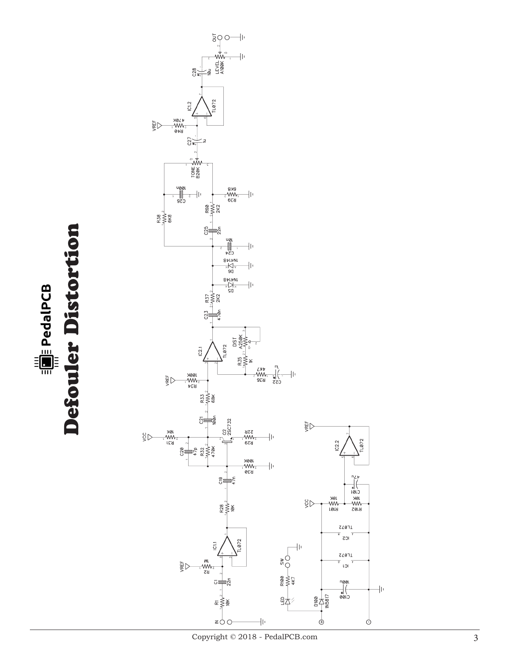**Example 2** PedalPCB<br>Defouler Distortion Defouler Distortion



Copyright © 2018 - PedalPCB.com

 $\frac{1}{2}$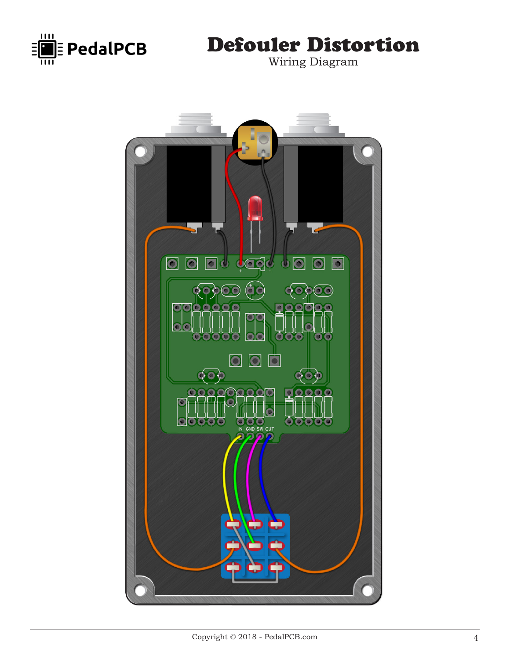

## Defouler Distortion

Wiring Diagram